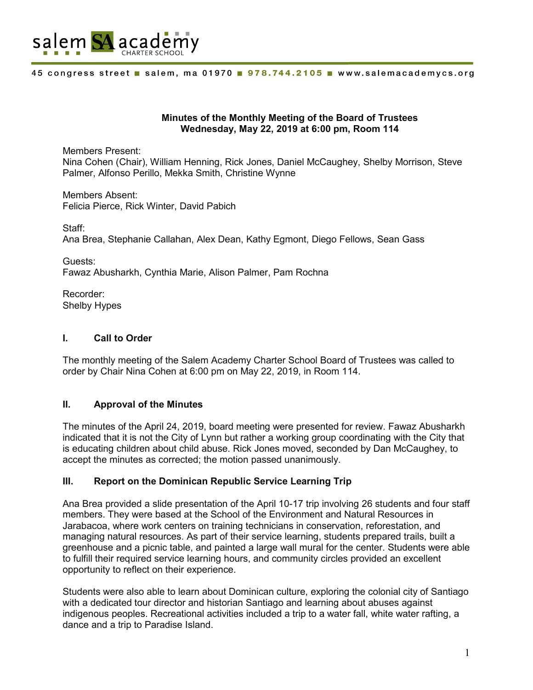

### **Minutes of the Monthly Meeting of the Board of Trustees Wednesday, May 22, 2019 at 6:00 pm, Room 114**

Members Present: Nina Cohen (Chair), William Henning, Rick Jones, Daniel McCaughey, Shelby Morrison, Steve Palmer, Alfonso Perillo, Mekka Smith, Christine Wynne

Members Absent: Felicia Pierce, Rick Winter, David Pabich

Staff: Ana Brea, Stephanie Callahan, Alex Dean, Kathy Egmont, Diego Fellows, Sean Gass

Guests: Fawaz Abusharkh, Cynthia Marie, Alison Palmer, Pam Rochna

Recorder: Shelby Hypes

# **I. Call to Order**

The monthly meeting of the Salem Academy Charter School Board of Trustees was called to order by Chair Nina Cohen at 6:00 pm on May 22, 2019, in Room 114.

# **II. Approval of the Minutes**

The minutes of the April 24, 2019, board meeting were presented for review. Fawaz Abusharkh indicated that it is not the City of Lynn but rather a working group coordinating with the City that is educating children about child abuse. Rick Jones moved, seconded by Dan McCaughey, to accept the minutes as corrected; the motion passed unanimously.

# **III. Report on the Dominican Republic Service Learning Trip**

Ana Brea provided a slide presentation of the April 10-17 trip involving 26 students and four staff members. They were based at the School of the Environment and Natural Resources in Jarabacoa, where work centers on training technicians in conservation, reforestation, and managing natural resources. As part of their service learning, students prepared trails, built a greenhouse and a picnic table, and painted a large wall mural for the center. Students were able to fulfill their required service learning hours, and community circles provided an excellent opportunity to reflect on their experience.

Students were also able to learn about Dominican culture, exploring the colonial city of Santiago with a dedicated tour director and historian Santiago and learning about abuses against indigenous peoples. Recreational activities included a trip to a water fall, white water rafting, a dance and a trip to Paradise Island.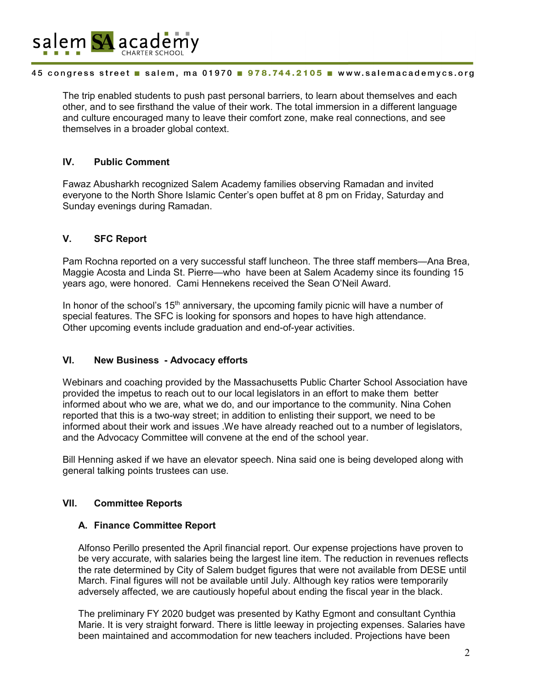

### 45 congress street salem, ma 01970 978.744.2105 www.salemacademycs.org

The trip enabled students to push past personal barriers, to learn about themselves and each other, and to see firsthand the value of their work. The total immersion in a different language and culture encouraged many to leave their comfort zone, make real connections, and see themselves in a broader global context.

# **IV. Public Comment**

Fawaz Abusharkh recognized Salem Academy families observing Ramadan and invited everyone to the North Shore Islamic Center's open buffet at 8 pm on Friday, Saturday and Sunday evenings during Ramadan.

# **V. SFC Report**

Pam Rochna reported on a very successful staff luncheon. The three staff members—Ana Brea, Maggie Acosta and Linda St. Pierre—who have been at Salem Academy since its founding 15 years ago, were honored. Cami Hennekens received the Sean O'Neil Award.

In honor of the school's  $15<sup>th</sup>$  anniversary, the upcoming family picnic will have a number of special features. The SFC is looking for sponsors and hopes to have high attendance. Other upcoming events include graduation and end-of-year activities.

### **VI. New Business - Advocacy efforts**

Webinars and coaching provided by the Massachusetts Public Charter School Association have provided the impetus to reach out to our local legislators in an effort to make them better informed about who we are, what we do, and our importance to the community. Nina Cohen reported that this is a two-way street; in addition to enlisting their support, we need to be informed about their work and issues .We have already reached out to a number of legislators, and the Advocacy Committee will convene at the end of the school year.

Bill Henning asked if we have an elevator speech. Nina said one is being developed along with general talking points trustees can use.

### **VII. Committee Reports**

### **A. Finance Committee Report**

Alfonso Perillo presented the April financial report. Our expense projections have proven to be very accurate, with salaries being the largest line item. The reduction in revenues reflects the rate determined by City of Salem budget figures that were not available from DESE until March. Final figures will not be available until July. Although key ratios were temporarily adversely affected, we are cautiously hopeful about ending the fiscal year in the black.

The preliminary FY 2020 budget was presented by Kathy Egmont and consultant Cynthia Marie. It is very straight forward. There is little leeway in projecting expenses. Salaries have been maintained and accommodation for new teachers included. Projections have been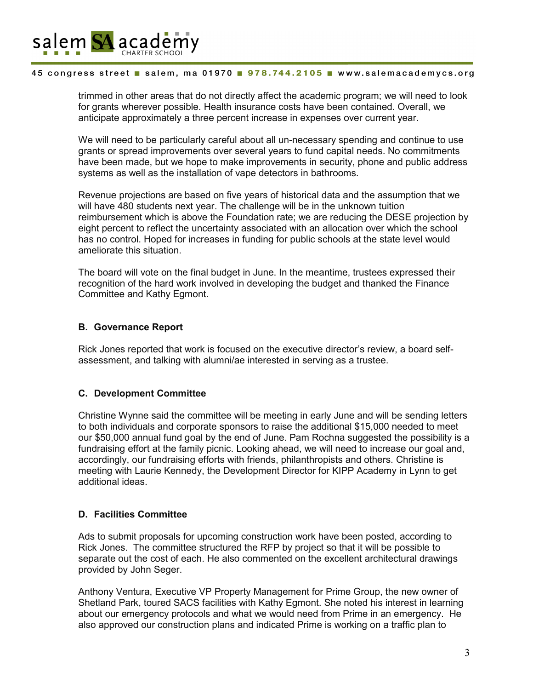

#### 45 congress street salem, ma 01970 . 978.744.2105 . www.salemacademycs.org

trimmed in other areas that do not directly affect the academic program; we will need to look for grants wherever possible. Health insurance costs have been contained. Overall, we anticipate approximately a three percent increase in expenses over current year.

We will need to be particularly careful about all un-necessary spending and continue to use grants or spread improvements over several years to fund capital needs. No commitments have been made, but we hope to make improvements in security, phone and public address systems as well as the installation of vape detectors in bathrooms.

Revenue projections are based on five years of historical data and the assumption that we will have 480 students next year. The challenge will be in the unknown tuition reimbursement which is above the Foundation rate; we are reducing the DESE projection by eight percent to reflect the uncertainty associated with an allocation over which the school has no control. Hoped for increases in funding for public schools at the state level would ameliorate this situation.

The board will vote on the final budget in June. In the meantime, trustees expressed their recognition of the hard work involved in developing the budget and thanked the Finance Committee and Kathy Egmont.

# **B. Governance Report**

Rick Jones reported that work is focused on the executive director's review, a board selfassessment, and talking with alumni/ae interested in serving as a trustee.

# **C. Development Committee**

Christine Wynne said the committee will be meeting in early June and will be sending letters to both individuals and corporate sponsors to raise the additional \$15,000 needed to meet our \$50,000 annual fund goal by the end of June. Pam Rochna suggested the possibility is a fundraising effort at the family picnic. Looking ahead, we will need to increase our goal and, accordingly, our fundraising efforts with friends, philanthropists and others. Christine is meeting with Laurie Kennedy, the Development Director for KIPP Academy in Lynn to get additional ideas.

# **D. Facilities Committee**

Ads to submit proposals for upcoming construction work have been posted, according to Rick Jones. The committee structured the RFP by project so that it will be possible to separate out the cost of each. He also commented on the excellent architectural drawings provided by John Seger.

Anthony Ventura, Executive VP Property Management for Prime Group, the new owner of Shetland Park, toured SACS facilities with Kathy Egmont. She noted his interest in learning about our emergency protocols and what we would need from Prime in an emergency. He also approved our construction plans and indicated Prime is working on a traffic plan to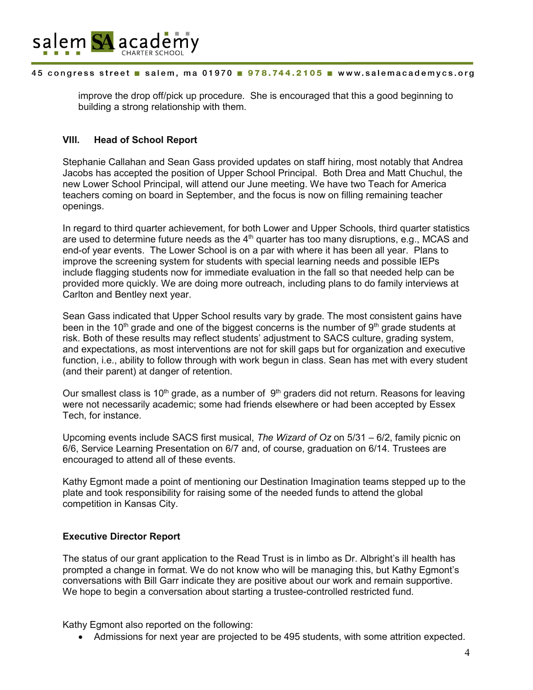

### 45 congress street salem, ma 01970 978.744.2105 www.salemacademycs.org

improve the drop off/pick up procedure. She is encouraged that this a good beginning to building a strong relationship with them.

### **VIII. Head of School Report**

Stephanie Callahan and Sean Gass provided updates on staff hiring, most notably that Andrea Jacobs has accepted the position of Upper School Principal. Both Drea and Matt Chuchul, the new Lower School Principal, will attend our June meeting. We have two Teach for America teachers coming on board in September, and the focus is now on filling remaining teacher openings.

In regard to third quarter achievement, for both Lower and Upper Schools, third quarter statistics are used to determine future needs as the  $4<sup>th</sup>$  quarter has too many disruptions, e.g., MCAS and end-of year events. The Lower School is on a par with where it has been all year. Plans to improve the screening system for students with special learning needs and possible IEPs include flagging students now for immediate evaluation in the fall so that needed help can be provided more quickly. We are doing more outreach, including plans to do family interviews at Carlton and Bentley next year.

Sean Gass indicated that Upper School results vary by grade. The most consistent gains have been in the 10<sup>th</sup> grade and one of the biggest concerns is the number of 9<sup>th</sup> grade students at risk. Both of these results may reflect students' adjustment to SACS culture, grading system, and expectations, as most interventions are not for skill gaps but for organization and executive function, i.e., ability to follow through with work begun in class. Sean has met with every student (and their parent) at danger of retention.

Our smallest class is 10<sup>th</sup> grade, as a number of  $9<sup>th</sup>$  graders did not return. Reasons for leaving were not necessarily academic; some had friends elsewhere or had been accepted by Essex Tech, for instance.

Upcoming events include SACS first musical, *The Wizard of Oz* on 5/31 – 6/2, family picnic on 6/6, Service Learning Presentation on 6/7 and, of course, graduation on 6/14. Trustees are encouraged to attend all of these events.

Kathy Egmont made a point of mentioning our Destination Imagination teams stepped up to the plate and took responsibility for raising some of the needed funds to attend the global competition in Kansas City.

### **Executive Director Report**

The status of our grant application to the Read Trust is in limbo as Dr. Albright's ill health has prompted a change in format. We do not know who will be managing this, but Kathy Egmont's conversations with Bill Garr indicate they are positive about our work and remain supportive. We hope to begin a conversation about starting a trustee-controlled restricted fund.

Kathy Egmont also reported on the following:

• Admissions for next year are projected to be 495 students, with some attrition expected.